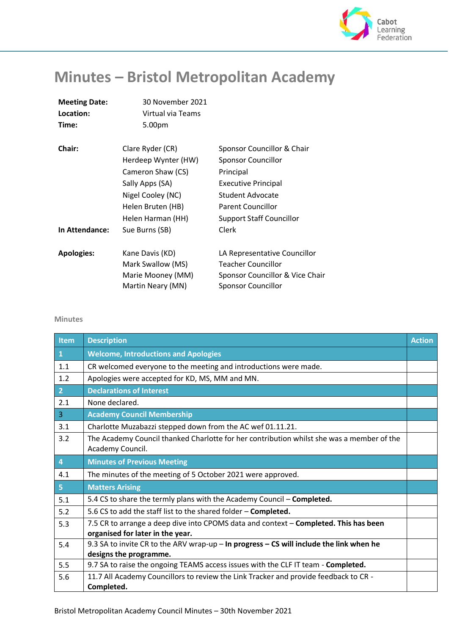

## **Minutes – Bristol Metropolitan Academy**

| <b>Meeting Date:</b> | 30 November 2021    |                                 |
|----------------------|---------------------|---------------------------------|
| Location:            | Virtual via Teams   |                                 |
| Time:                | 5.00pm              |                                 |
| Chair:               | Clare Ryder (CR)    | Sponsor Councillor & Chair      |
|                      | Herdeep Wynter (HW) | <b>Sponsor Councillor</b>       |
|                      | Cameron Shaw (CS)   | Principal                       |
|                      | Sally Apps (SA)     | <b>Executive Principal</b>      |
|                      | Nigel Cooley (NC)   | <b>Student Advocate</b>         |
|                      | Helen Bruten (HB)   | <b>Parent Councillor</b>        |
|                      | Helen Harman (HH)   | <b>Support Staff Councillor</b> |
| In Attendance:       | Sue Burns (SB)      | Clerk                           |
| <b>Apologies:</b>    | Kane Davis (KD)     | LA Representative Councillor    |
|                      | Mark Swallow (MS)   | Teacher Councillor              |
|                      | Marie Mooney (MM)   | Sponsor Councillor & Vice Chair |
|                      | Martin Neary (MN)   | <b>Sponsor Councillor</b>       |
|                      |                     |                                 |

## **Minutes**

| Item           | <b>Description</b>                                                                                                       | <b>Action</b> |
|----------------|--------------------------------------------------------------------------------------------------------------------------|---------------|
| $\mathbf{1}$   | <b>Welcome, Introductions and Apologies</b>                                                                              |               |
| 1.1            | CR welcomed everyone to the meeting and introductions were made.                                                         |               |
| 1.2            | Apologies were accepted for KD, MS, MM and MN.                                                                           |               |
| 2 <sup>1</sup> | <b>Declarations of Interest</b>                                                                                          |               |
| 2.1            | None declared.                                                                                                           |               |
| $\overline{3}$ | <b>Academy Council Membership</b>                                                                                        |               |
| 3.1            | Charlotte Muzabazzi stepped down from the AC wef 01.11.21.                                                               |               |
| 3.2            | The Academy Council thanked Charlotte for her contribution whilst she was a member of the<br>Academy Council.            |               |
| $\overline{4}$ | <b>Minutes of Previous Meeting</b>                                                                                       |               |
| 4.1            | The minutes of the meeting of 5 October 2021 were approved.                                                              |               |
| 5 <sup>1</sup> | <b>Matters Arising</b>                                                                                                   |               |
| 5.1            | 5.4 CS to share the termly plans with the Academy Council - Completed.                                                   |               |
| 5.2            | 5.6 CS to add the staff list to the shared folder - Completed.                                                           |               |
| 5.3            | 7.5 CR to arrange a deep dive into CPOMS data and context - Completed. This has been<br>organised for later in the year. |               |
| 5.4            | 9.3 SA to invite CR to the ARV wrap-up - In progress - CS will include the link when he<br>designs the programme.        |               |
| 5.5            | 9.7 SA to raise the ongoing TEAMS access issues with the CLF IT team - Completed.                                        |               |
| 5.6            | 11.7 All Academy Councillors to review the Link Tracker and provide feedback to CR -<br>Completed.                       |               |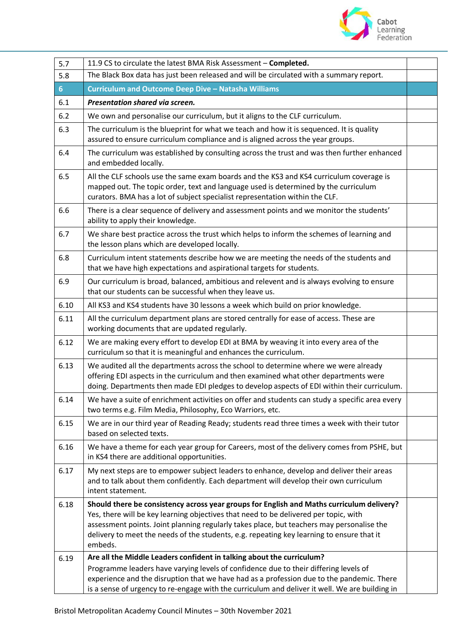

| 5.7  | 11.9 CS to circulate the latest BMA Risk Assessment - Completed.                                                                                                                                                                                                                                                                                                                       |  |
|------|----------------------------------------------------------------------------------------------------------------------------------------------------------------------------------------------------------------------------------------------------------------------------------------------------------------------------------------------------------------------------------------|--|
| 5.8  | The Black Box data has just been released and will be circulated with a summary report.                                                                                                                                                                                                                                                                                                |  |
| 6    | <b>Curriculum and Outcome Deep Dive - Natasha Williams</b>                                                                                                                                                                                                                                                                                                                             |  |
| 6.1  | Presentation shared via screen.                                                                                                                                                                                                                                                                                                                                                        |  |
| 6.2  | We own and personalise our curriculum, but it aligns to the CLF curriculum.                                                                                                                                                                                                                                                                                                            |  |
| 6.3  | The curriculum is the blueprint for what we teach and how it is sequenced. It is quality<br>assured to ensure curriculum compliance and is aligned across the year groups.                                                                                                                                                                                                             |  |
| 6.4  | The curriculum was established by consulting across the trust and was then further enhanced<br>and embedded locally.                                                                                                                                                                                                                                                                   |  |
| 6.5  | All the CLF schools use the same exam boards and the KS3 and KS4 curriculum coverage is<br>mapped out. The topic order, text and language used is determined by the curriculum<br>curators. BMA has a lot of subject specialist representation within the CLF.                                                                                                                         |  |
| 6.6  | There is a clear sequence of delivery and assessment points and we monitor the students'<br>ability to apply their knowledge.                                                                                                                                                                                                                                                          |  |
| 6.7  | We share best practice across the trust which helps to inform the schemes of learning and<br>the lesson plans which are developed locally.                                                                                                                                                                                                                                             |  |
| 6.8  | Curriculum intent statements describe how we are meeting the needs of the students and<br>that we have high expectations and aspirational targets for students.                                                                                                                                                                                                                        |  |
| 6.9  | Our curriculum is broad, balanced, ambitious and relevent and is always evolving to ensure<br>that our students can be successful when they leave us.                                                                                                                                                                                                                                  |  |
| 6.10 | All KS3 and KS4 students have 30 lessons a week which build on prior knowledge.                                                                                                                                                                                                                                                                                                        |  |
| 6.11 | All the curriculum department plans are stored centrally for ease of access. These are<br>working documents that are updated regularly.                                                                                                                                                                                                                                                |  |
| 6.12 | We are making every effort to develop EDI at BMA by weaving it into every area of the<br>curriculum so that it is meaningful and enhances the curriculum.                                                                                                                                                                                                                              |  |
| 6.13 | We audited all the departments across the school to determine where we were already<br>offering EDI aspects in the curriculum and then examined what other departments were<br>doing. Departments then made EDI pledges to develop aspects of EDI within their curriculum.                                                                                                             |  |
| 6.14 | We have a suite of enrichment activities on offer and students can study a specific area every<br>two terms e.g. Film Media, Philosophy, Eco Warriors, etc.                                                                                                                                                                                                                            |  |
| 6.15 | We are in our third year of Reading Ready; students read three times a week with their tutor<br>based on selected texts.                                                                                                                                                                                                                                                               |  |
| 6.16 | We have a theme for each year group for Careers, most of the delivery comes from PSHE, but<br>in KS4 there are additional opportunities.                                                                                                                                                                                                                                               |  |
| 6.17 | My next steps are to empower subject leaders to enhance, develop and deliver their areas<br>and to talk about them confidently. Each department will develop their own curriculum<br>intent statement.                                                                                                                                                                                 |  |
| 6.18 | Should there be consistency across year groups for English and Maths curriculum delivery?<br>Yes, there will be key learning objectives that need to be delivered per topic, with<br>assessment points. Joint planning regularly takes place, but teachers may personalise the<br>delivery to meet the needs of the students, e.g. repeating key learning to ensure that it<br>embeds. |  |
| 6.19 | Are all the Middle Leaders confident in talking about the curriculum?<br>Programme leaders have varying levels of confidence due to their differing levels of<br>experience and the disruption that we have had as a profession due to the pandemic. There<br>is a sense of urgency to re-engage with the curriculum and deliver it well. We are building in                           |  |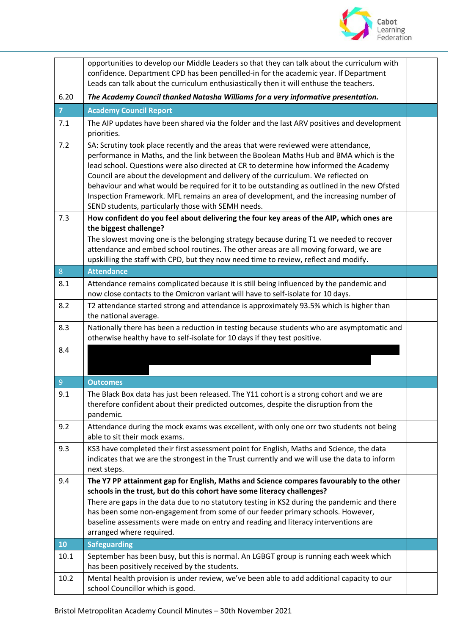

|                | opportunities to develop our Middle Leaders so that they can talk about the curriculum with<br>confidence. Department CPD has been pencilled-in for the academic year. If Department<br>Leads can talk about the curriculum enthusiastically then it will enthuse the teachers.                                                                                                                                                                                                                                                                                                                          |  |
|----------------|----------------------------------------------------------------------------------------------------------------------------------------------------------------------------------------------------------------------------------------------------------------------------------------------------------------------------------------------------------------------------------------------------------------------------------------------------------------------------------------------------------------------------------------------------------------------------------------------------------|--|
| 6.20           | The Academy Council thanked Natasha Williams for a very informative presentation.                                                                                                                                                                                                                                                                                                                                                                                                                                                                                                                        |  |
| $\overline{7}$ | <b>Academy Council Report</b>                                                                                                                                                                                                                                                                                                                                                                                                                                                                                                                                                                            |  |
| 7.1            | The AIP updates have been shared via the folder and the last ARV positives and development<br>priorities.                                                                                                                                                                                                                                                                                                                                                                                                                                                                                                |  |
| 7.2            | SA: Scrutiny took place recently and the areas that were reviewed were attendance,<br>performance in Maths, and the link between the Boolean Maths Hub and BMA which is the<br>lead school. Questions were also directed at CR to determine how informed the Academy<br>Council are about the development and delivery of the curriculum. We reflected on<br>behaviour and what would be required for it to be outstanding as outlined in the new Ofsted<br>Inspection Framework. MFL remains an area of development, and the increasing number of<br>SEND students, particularly those with SEMH needs. |  |
| 7.3            | How confident do you feel about delivering the four key areas of the AIP, which ones are<br>the biggest challenge?<br>The slowest moving one is the belonging strategy because during T1 we needed to recover<br>attendance and embed school routines. The other areas are all moving forward, we are<br>upskilling the staff with CPD, but they now need time to review, reflect and modify.                                                                                                                                                                                                            |  |
| 8              | <b>Attendance</b>                                                                                                                                                                                                                                                                                                                                                                                                                                                                                                                                                                                        |  |
| 8.1            | Attendance remains complicated because it is still being influenced by the pandemic and<br>now close contacts to the Omicron variant will have to self-isolate for 10 days.                                                                                                                                                                                                                                                                                                                                                                                                                              |  |
| 8.2            | T2 attendance started strong and attendance is approximately 93.5% which is higher than<br>the national average.                                                                                                                                                                                                                                                                                                                                                                                                                                                                                         |  |
| 8.3            | Nationally there has been a reduction in testing because students who are asymptomatic and<br>otherwise healthy have to self-isolate for 10 days if they test positive.                                                                                                                                                                                                                                                                                                                                                                                                                                  |  |
| 8.4            |                                                                                                                                                                                                                                                                                                                                                                                                                                                                                                                                                                                                          |  |
| $\overline{9}$ | <b>Outcomes</b>                                                                                                                                                                                                                                                                                                                                                                                                                                                                                                                                                                                          |  |
| 9.1            | The Black Box data has just been released. The Y11 cohort is a strong cohort and we are<br>therefore confident about their predicted outcomes, despite the disruption from the<br>pandemic.                                                                                                                                                                                                                                                                                                                                                                                                              |  |
| 9.2            | Attendance during the mock exams was excellent, with only one orr two students not being<br>able to sit their mock exams.                                                                                                                                                                                                                                                                                                                                                                                                                                                                                |  |
| 9.3            | KS3 have completed their first assessment point for English, Maths and Science, the data<br>indicates that we are the strongest in the Trust currently and we will use the data to inform<br>next steps.                                                                                                                                                                                                                                                                                                                                                                                                 |  |
| 9.4            | The Y7 PP attainment gap for English, Maths and Science compares favourably to the other<br>schools in the trust, but do this cohort have some literacy challenges?<br>There are gaps in the data due to no statutory testing in KS2 during the pandemic and there<br>has been some non-engagement from some of our feeder primary schools. However,<br>baseline assessments were made on entry and reading and literacy interventions are<br>arranged where required.                                                                                                                                   |  |
| 10             | <b>Safeguarding</b>                                                                                                                                                                                                                                                                                                                                                                                                                                                                                                                                                                                      |  |
| 10.1           | September has been busy, but this is normal. An LGBGT group is running each week which<br>has been positively received by the students.                                                                                                                                                                                                                                                                                                                                                                                                                                                                  |  |
| 10.2           | Mental health provision is under review, we've been able to add additional capacity to our<br>school Councillor which is good.                                                                                                                                                                                                                                                                                                                                                                                                                                                                           |  |